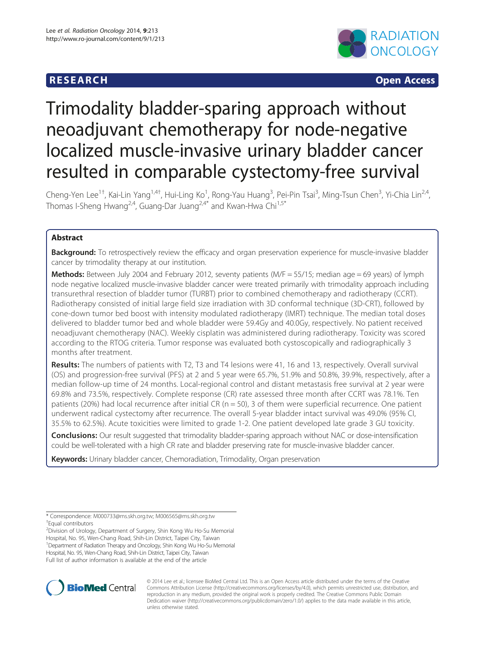## **RESEARCH CHING CONSTRUCTED ACCESS**



# Trimodality bladder-sparing approach without neoadjuvant chemotherapy for node-negative localized muscle-invasive urinary bladder cancer resulted in comparable cystectomy-free survival

Cheng-Yen Lee<sup>1†</sup>, Kai-Lin Yang<sup>1,4†</sup>, Hui-Ling Ko<sup>1</sup>, Rong-Yau Huang<sup>3</sup>, Pei-Pin Tsai<sup>3</sup>, Ming-Tsun Chen<sup>3</sup>, Yi-Chia Lin<sup>2,4</sup>, Thomas I-Sheng Hwang<sup>2,4</sup>, Guang-Dar Juang<sup>2,4\*</sup> and Kwan-Hwa Chi<sup>1,5\*</sup>

## Abstract

Background: To retrospectively review the efficacy and organ preservation experience for muscle-invasive bladder cancer by trimodality therapy at our institution.

Methods: Between July 2004 and February 2012, seventy patients (M/F = 55/15; median age = 69 years) of lymph node negative localized muscle-invasive bladder cancer were treated primarily with trimodality approach including transurethral resection of bladder tumor (TURBT) prior to combined chemotherapy and radiotherapy (CCRT). Radiotherapy consisted of initial large field size irradiation with 3D conformal technique (3D-CRT), followed by cone-down tumor bed boost with intensity modulated radiotherapy (IMRT) technique. The median total doses delivered to bladder tumor bed and whole bladder were 59.4Gy and 40.0Gy, respectively. No patient received neoadjuvant chemotherapy (NAC). Weekly cisplatin was administered during radiotherapy. Toxicity was scored according to the RTOG criteria. Tumor response was evaluated both cystoscopically and radiographically 3 months after treatment.

Results: The numbers of patients with T2, T3 and T4 lesions were 41, 16 and 13, respectively. Overall survival (OS) and progression-free survival (PFS) at 2 and 5 year were 65.7%, 51.9% and 50.8%, 39.9%, respectively, after a median follow-up time of 24 months. Local-regional control and distant metastasis free survival at 2 year were 69.8% and 73.5%, respectively. Complete response (CR) rate assessed three month after CCRT was 78.1%. Ten patients (20%) had local recurrence after initial CR ( $n = 50$ ), 3 of them were superficial recurrence. One patient underwent radical cystectomy after recurrence. The overall 5-year bladder intact survival was 49.0% (95% CI, 35.5% to 62.5%). Acute toxicities were limited to grade 1-2. One patient developed late grade 3 GU toxicity.

**Conclusions:** Our result suggested that trimodality bladder-sparing approach without NAC or dose-intensification could be well-tolerated with a high CR rate and bladder preserving rate for muscle-invasive bladder cancer.

Keywords: Urinary bladder cancer, Chemoradiation, Trimodality, Organ preservation

\* Correspondence: [M000733@ms.skh.org.tw;](mailto:M000733@ms.skh.org.tw) [M006565@ms.skh.org.tw](mailto:M006565@ms.skh.org.tw) † Equal contributors

2 Division of Urology, Department of Surgery, Shin Kong Wu Ho-Su Memorial Hospital, No. 95, Wen-Chang Road, Shih-Lin District, Taipei City, Taiwan <sup>1</sup> Department of Radiation Therapy and Oncology, Shin Kong Wu Ho-Su Memorial Hospital, No. 95, Wen-Chang Road, Shih-Lin District, Taipei City, Taiwan Full list of author information is available at the end of the article



© 2014 Lee et al.; licensee BioMed Central Ltd. This is an Open Access article distributed under the terms of the Creative Commons Attribution License [\(http://creativecommons.org/licenses/by/4.0\)](http://creativecommons.org/licenses/by/4.0), which permits unrestricted use, distribution, and reproduction in any medium, provided the original work is properly credited. The Creative Commons Public Domain Dedication waiver [\(http://creativecommons.org/publicdomain/zero/1.0/](http://creativecommons.org/publicdomain/zero/1.0/)) applies to the data made available in this article, unless otherwise stated.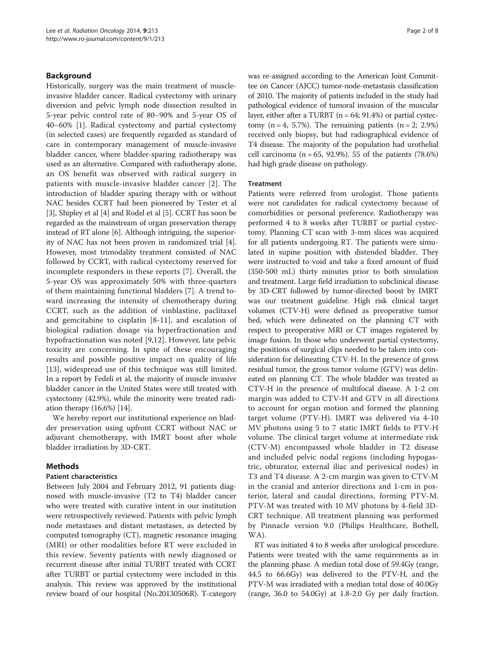## Background

Historically, surgery was the main treatment of muscleinvasive bladder cancer. Radical cystectomy with urinary diversion and pelvic lymph node dissection resulted in 5-year pelvic control rate of 80–90% and 5-year OS of 40–60% [[1\]](#page-6-0). Radical cystectomy and partial cystectomy (in selected cases) are frequently regarded as standard of care in contemporary management of muscle-invasive bladder cancer, where bladder-sparing radiotherapy was used as an alternative. Compared with radiotherapy alone, an OS benefit was observed with radical surgery in patients with muscle-invasive bladder cancer [\[2](#page-6-0)]. The introduction of bladder sparing therapy with or without NAC besides CCRT had been pioneered by Tester et al [[3\]](#page-6-0), Shipley et al [[4](#page-6-0)] and Rodel et al [[5\]](#page-6-0). CCRT has soon be regarded as the mainstream of organ preservation therapy instead of RT alone [\[6](#page-6-0)]. Although intriguing, the superiority of NAC has not been proven in randomized trial [[4](#page-6-0)]. However, most trimodality treatment consisted of NAC followed by CCRT, with radical cystectomy reserved for incomplete responders in these reports [[7\]](#page-6-0). Overall, the 5-year OS was approximately 50% with three-quarters of them maintaining functional bladders [\[7](#page-6-0)]. A trend toward increasing the intensity of chemotherapy during CCRT, such as the addition of vinblastine, paclitaxel and gemcitabine to cisplatin [[8-11](#page-6-0)], and escalation of biological radiation dosage via hyperfractionation and hypofractionation was noted [[9,12\]](#page-6-0). However, late pelvic toxicity are concerning. In spite of these encouraging results and possible positive impact on quality of life [[13\]](#page-6-0), widespread use of this technique was still limited. In a report by Fedeli et al, the majority of muscle invasive bladder cancer in the United States were still treated with cystectomy (42.9%), while the minority were treated radiation therapy (16.6%) [\[14\]](#page-6-0).

We hereby report our institutional experience on bladder preservation using upfront CCRT without NAC or adjuvant chemotherapy, with IMRT boost after whole bladder irradiation by 3D-CRT.

## Methods

### Patient characteristics

Between July 2004 and February 2012, 91 patients diagnosed with muscle-invasive (T2 to T4) bladder cancer who were treated with curative intent in our institution were retrospectively reviewed. Patients with pelvic lymph node metastases and distant metastases, as detected by computed tomography (CT), magnetic resonance imaging (MRI) or other modalities before RT were excluded in this review. Seventy patients with newly diagnosed or recurrent disease after initial TURBT treated with CCRT after TURBT or partial cystectomy were included in this analysis. This review was approved by the institutional review board of our hospital (No.20130506R). T-category was re-assigned according to the American Joint Committee on Cancer (AJCC) tumor-node-metastasis classification of 2010. The majority of patients included in the study had pathological evidence of tumoral invasion of the muscular layer, either after a TURBT  $(n = 64; 91.4%)$  or partial cystectomy  $(n = 4, 5.7\%)$ . The remaining patients  $(n = 2, 2.9\%)$ received only biopsy, but had radiographical evidence of T4 disease. The majority of the population had urothelial cell carcinoma ( $n = 65$ , 92.9%). 55 of the patients (78.6%) had high grade disease on pathology.

#### **Treatment**

Patients were referred from urologist. Those patients were not candidates for radical cystectomy because of comorbidities or personal preference. Radiotherapy was performed 4 to 8 weeks after TURBT or partial cystectomy. Planning CT scan with 3-mm slices was acquired for all patients undergoing RT. The patients were simulated in supine position with distended bladder. They were instructed to void and take a fixed amount of fluid (350-500 mL) thirty minutes prior to both simulation and treatment. Large field irradiation to subclinical disease by 3D-CRT followed by tumor-directed boost by IMRT was our treatment guideline. High risk clinical target volumes (CTV-H) were defined as preoperative tumor bed, which were delineated on the planning CT with respect to preoperative MRI or CT images registered by image fusion. In those who underwent partial cystectomy, the positions of surgical clips needed to be taken into consideration for delineating CTV-H. In the presence of gross residual tumor, the gross tumor volume (GTV) was delineated on planning CT. The whole bladder was treated as CTV-H in the presence of multifocal disease. A 1-2 cm margin was added to CTV-H and GTV in all directions to account for organ motion and formed the planning target volume (PTV-H). IMRT was delivered via 4-10 MV photons using 5 to 7 static IMRT fields to PTV-H volume. The clinical target volume at intermediate risk (CTV-M) encompassed whole bladder in T2 disease and included pelvic nodal regions (including hypogastric, obturator, external iliac and perivesical nodes) in T3 and T4 disease. A 2-cm margin was given to CTV-M in the cranial and anterior directions and 1-cm in posterior, lateral and caudal directions, forming PTV-M. PTV-M was treated with 10 MV photons by 4-field 3D-CRT technique. All treatment planning was performed by Pinnacle version 9.0 (Philips Healthcare, Bothell, WA).

RT was initiated 4 to 8 weeks after urological procedure. Patients were treated with the same requirements as in the planning phase. A median total dose of 59.4Gy (range, 44.5 to 66.6Gy) was delivered to the PTV-H, and the PTV-M was irradiated with a median total dose of 40.0Gy (range, 36.0 to 54.0Gy) at 1.8-2.0 Gy per daily fraction.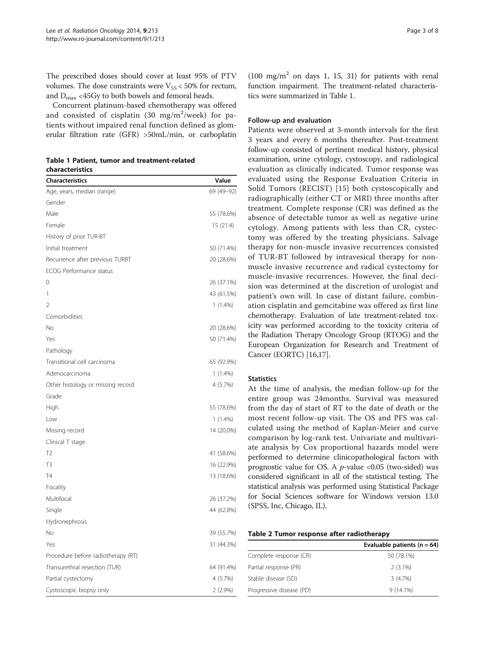<span id="page-2-0"></span>The prescribed doses should cover at least 95% of PTV volumes. The dose constraints were  $V_{55}$  < 50% for rectum, and  $D_{\text{max}}$  <45Gy to both bowels and femoral heads.

Concurrent platinum-based chemotherapy was offered and consisted of cisplatin (30 mg/m $^2$ /week) for patients without impaired renal function defined as glomerular filtration rate (GFR) >50mL/min, or carboplatin

Table 1 Patient, tumor and treatment-related characteristics

| <b>Characteristics</b>             | Value      |
|------------------------------------|------------|
| Age, years, median (range)         | 69 (49-92) |
| Gender                             |            |
| Male                               | 55 (78.6%) |
| Female                             | 15(21.4)   |
| History of prior TUR-BT            |            |
| Initial treatment                  | 50 (71.4%) |
| Recurrence after previous TURBT    | 20 (28.6%) |
| ECOG Performance status            |            |
| 0                                  | 26 (37.1%) |
| 1                                  | 43 (61.5%) |
| $\overline{\phantom{a}}$           | $1(1.4\%)$ |
| Comorbidities                      |            |
| No                                 | 20 (28.6%) |
| Yes                                | 50 (71.4%) |
| Pathology                          |            |
| Transitional cell carcinoma        | 65 (92.9%) |
| Adenocarcinoma                     | $1(1.4\%)$ |
| Other histology or missing record  | 4 (5.7%)   |
| Grade                              |            |
| High                               | 55 (78.6%) |
| Low                                | $1(1.4\%)$ |
| Missing record                     | 14 (20.0%) |
| Clinical T stage                   |            |
| T <sub>2</sub>                     | 41 (58.6%) |
| T <sub>3</sub>                     | 16 (22.9%) |
| <b>T4</b>                          | 13 (18.6%) |
| Focality                           |            |
| Multifocal                         | 26 (37.2%) |
| Single                             | 44 (62.8%) |
| Hydronephrosis                     |            |
| No                                 | 39 (55.7%) |
| Yes                                | 31 (44.3%) |
| Procedure before radiotherapy (RT) |            |
| Transurethral resection (TUR)      | 64 (91.4%) |
| Partial cystectomy                 | 4 (5.7%)   |
| Cystoscopic biopsy only            | $2(2.9\%)$ |

 $(100 \text{ mg/m}^2 \text{ on days } 1, 15, 31)$  for patients with renal function impairment. The treatment-related characteristics were summarized in Table 1.

#### Follow-up and evaluation

Patients were observed at 3-month intervals for the first 3 years and every 6 months thereafter. Post-treatment follow-up consisted of pertinent medical history, physical examination, urine cytology, cystoscopy, and radiological evaluation as clinically indicated. Tumor response was evaluated using the Response Evaluation Criteria in Solid Tumors (RECIST) [[15\]](#page-6-0) both cystoscopically and radiographically (either CT or MRI) three months after treatment. Complete response (CR) was defined as the absence of detectable tumor as well as negative urine cytology. Among patients with less than CR, cystectomy was offered by the treating physicians. Salvage therapy for non-muscle invasive recurrences consisted of TUR-BT followed by intravesical therapy for nonmuscle invasive recurrence and radical cystectomy for muscle-invasive recurrences. However, the final decision was determined at the discretion of urologist and patient's own will. In case of distant failure, combination cisplatin and gemcitabine was offered as first line chemotherapy. Evaluation of late treatment-related toxicity was performed according to the toxicity criteria of the Radiation Therapy Oncology Group (RTOG) and the European Organization for Research and Treatment of Cancer (EORTC) [\[16,17\]](#page-6-0).

### **Statistics**

At the time of analysis, the median follow-up for the entire group was 24months. Survival was measured from the day of start of RT to the date of death or the most recent follow-up visit. The OS and PFS was calculated using the method of Kaplan-Meier and curve comparison by log-rank test. Univariate and multivariate analysis by Cox proportional hazards model were performed to determine clinicopathological factors with prognostic value for OS. A  $p$ -value <0.05 (two-sided) was considered significant in all of the statistical testing. The statistical analysis was performed using Statistical Package for Social Sciences software for Windows version 13.0 (SPSS, Inc, Chicago, IL).

| Table 2 Tumor response after radiotherapy |  |  |
|-------------------------------------------|--|--|
|-------------------------------------------|--|--|

| Evaluable patients ( $n = 64$ ) |
|---------------------------------|
| 50 (78.1%)                      |
| $2(3.1\%)$                      |
| 3 (4.7%)                        |
| $9(14.1\%)$                     |
|                                 |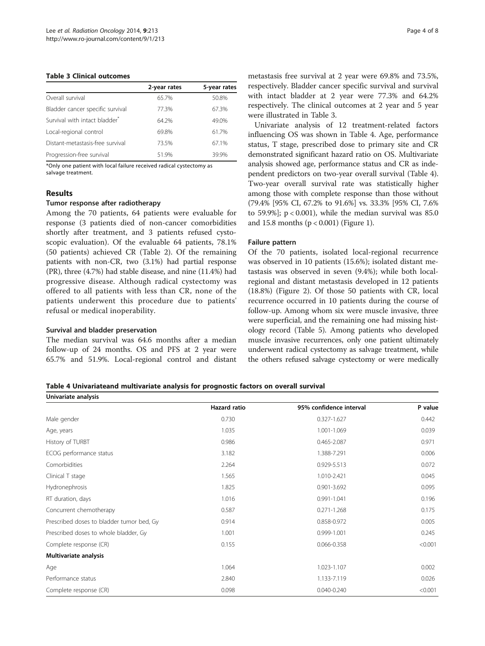#### Table 3 Clinical outcomes

|                                           | 2-year rates | 5-year rates |
|-------------------------------------------|--------------|--------------|
| Overall survival                          | 65.7%        | 50.8%        |
| Bladder cancer specific survival          | 77.3%        | 67.3%        |
| Survival with intact bladder <sup>*</sup> | 64.2%        | 49.0%        |
| Local-regional control                    | 69.8%        | 61.7%        |
| Distant-metastasis-free survival          | 73.5%        | 67.1%        |
| Progression-free survival                 | 51.9%        | 39.9%        |

\*Only one patient with local failure received radical cystectomy as salvage treatment.

## Results

## Tumor response after radiotherapy

Among the 70 patients, 64 patients were evaluable for response (3 patients died of non-cancer comorbidities shortly after treatment, and 3 patients refused cystoscopic evaluation). Of the evaluable 64 patients, 78.1% (50 patients) achieved CR (Table [2\)](#page-2-0). Of the remaining patients with non-CR, two (3.1%) had partial response (PR), three (4.7%) had stable disease, and nine (11.4%) had progressive disease. Although radical cystectomy was offered to all patients with less than CR, none of the patients underwent this procedure due to patients' refusal or medical inoperability.

## Survival and bladder preservation

The median survival was 64.6 months after a median follow-up of 24 months. OS and PFS at 2 year were 65.7% and 51.9%. Local-regional control and distant metastasis free survival at 2 year were 69.8% and 73.5%, respectively. Bladder cancer specific survival and survival with intact bladder at 2 year were 77.3% and 64.2% respectively. The clinical outcomes at 2 year and 5 year were illustrated in Table 3.

Univariate analysis of 12 treatment-related factors influencing OS was shown in Table 4. Age, performance status, T stage, prescribed dose to primary site and CR demonstrated significant hazard ratio on OS. Multivariate analysis showed age, performance status and CR as independent predictors on two-year overall survival (Table 4). Two-year overall survival rate was statistically higher among those with complete response than those without (79.4% [95% CI, 67.2% to 91.6%] vs. 33.3% [95% CI, 7.6% to 59.9%];  $p < 0.001$ ), while the median survival was 85.0 and 15.8 months (p < 0.001) (Figure [1\)](#page-4-0).

## Failure pattern

Of the 70 patients, isolated local-regional recurrence was observed in 10 patients (15.6%); isolated distant metastasis was observed in seven (9.4%); while both localregional and distant metastasis developed in 12 patients (18.8%) (Figure [2](#page-4-0)). Of those 50 patients with CR, local recurrence occurred in 10 patients during the course of follow-up. Among whom six were muscle invasive, three were superficial, and the remaining one had missing histology record (Table [5\)](#page-4-0). Among patients who developed muscle invasive recurrences, only one patient ultimately underwent radical cystectomy as salvage treatment, while the others refused salvage cystectomy or were medically

Table 4 Univariateand multivariate analysis for prognostic factors on overall survival

| Univariate analysis                       |                     |                         |         |  |  |
|-------------------------------------------|---------------------|-------------------------|---------|--|--|
|                                           | <b>Hazard ratio</b> | 95% confidence interval | P value |  |  |
| Male gender                               | 0.730               | $0.327 - 1.627$         | 0.442   |  |  |
| Age, years                                | 1.035               | 1.001-1.069             | 0.039   |  |  |
| History of TURBT                          | 0.986               | 0.465-2.087             | 0.971   |  |  |
| ECOG performance status                   | 3.182               | 1.388-7.291             | 0.006   |  |  |
| Comorbidities                             | 2.264               | 0.929-5.513             | 0.072   |  |  |
| Clinical T stage                          | 1.565               | 1.010-2.421             | 0.045   |  |  |
| Hydronephrosis                            | 1.825               | $0.901 - 3.692$         | 0.095   |  |  |
| RT duration, days                         | 1.016               | 0.991-1.041             | 0.196   |  |  |
| Concurrent chemotherapy                   | 0.587               | $0.271 - 1.268$         | 0.175   |  |  |
| Prescribed doses to bladder tumor bed, Gy | 0.914               | 0.858-0.972             | 0.005   |  |  |
| Prescribed doses to whole bladder, Gy     | 1.001               | 0.999-1.001             | 0.245   |  |  |
| Complete response (CR)                    | 0.155               | 0.066-0.358             | < 0.001 |  |  |
| Multivariate analysis                     |                     |                         |         |  |  |
| Age                                       | 1.064               | 1.023-1.107             | 0.002   |  |  |
| Performance status                        | 2.840               | 1.133-7.119             | 0.026   |  |  |
| Complete response (CR)                    | 0.098               | $0.040 - 0.240$         | < 0.001 |  |  |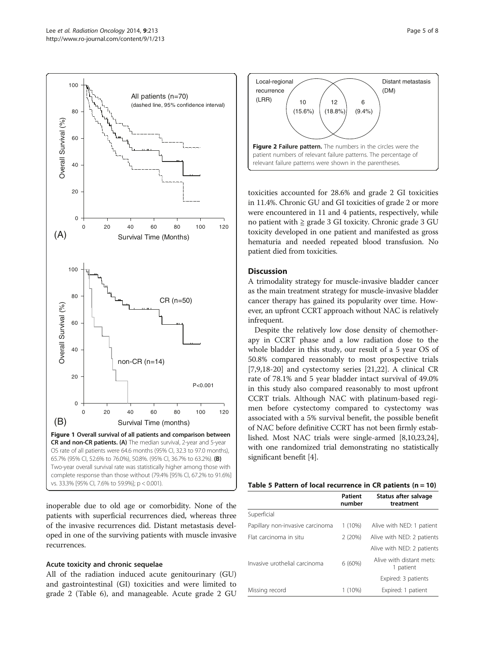<span id="page-4-0"></span>

inoperable due to old age or comorbidity. None of the patients with superficial recurrences died, whereas three of the invasive recurrences did. Distant metastasis developed in one of the surviving patients with muscle invasive recurrences.

## Acute toxicity and chronic sequelae

All of the radiation induced acute genitourinary (GU) and gastrointestinal (GI) toxicities and were limited to grade 2 (Table [6\)](#page-5-0), and manageable. Acute grade 2 GU



toxicities accounted for 28.6% and grade 2 GI toxicities in 11.4%. Chronic GU and GI toxicities of grade 2 or more were encountered in 11 and 4 patients, respectively, while no patient with  $≥$  grade 3 GI toxicity. Chronic grade 3 GU toxicity developed in one patient and manifested as gross hematuria and needed repeated blood transfusion. No patient died from toxicities.

## **Discussion**

A trimodality strategy for muscle-invasive bladder cancer as the main treatment strategy for muscle-invasive bladder cancer therapy has gained its popularity over time. However, an upfront CCRT approach without NAC is relatively infrequent.

Despite the relatively low dose density of chemotherapy in CCRT phase and a low radiation dose to the whole bladder in this study, our result of a 5 year OS of 50.8% compared reasonably to most prospective trials [[7,9,18-20](#page-6-0)] and cystectomy series [[21,22\]](#page-6-0). A clinical CR rate of 78.1% and 5 year bladder intact survival of 49.0% in this study also compared reasonably to most upfront CCRT trials. Although NAC with platinum-based regimen before cystectomy compared to cystectomy was associated with a 5% survival benefit, the possible benefit of NAC before definitive CCRT has not been firmly established. Most NAC trials were single-armed [\[8,10,23,](#page-6-0)[24](#page-7-0)], with one randomized trial demonstrating no statistically significant benefit [\[4\]](#page-6-0).

| Table 5 Pattern of local recurrence in CR patients ( $n = 10$ ) |  |  |  |
|-----------------------------------------------------------------|--|--|--|
|-----------------------------------------------------------------|--|--|--|

|                                  | Patient<br>number | Status after salvage<br>treatment     |
|----------------------------------|-------------------|---------------------------------------|
| Superficial                      |                   |                                       |
| Papillary non-invasive carcinoma | $1(10\%)$         | Alive with NED: 1 patient             |
| Flat carcinoma in situ           | 2(20%)            | Alive with NED: 2 patients            |
|                                  |                   | Alive with NED: 2 patients            |
| Invasive urothelial carcinoma    | 6(60%)            | Alive with distant mets:<br>1 patient |
|                                  |                   | Expired: 3 patients                   |
| Missing record                   | 1 (10%)           | Expired: 1 patient                    |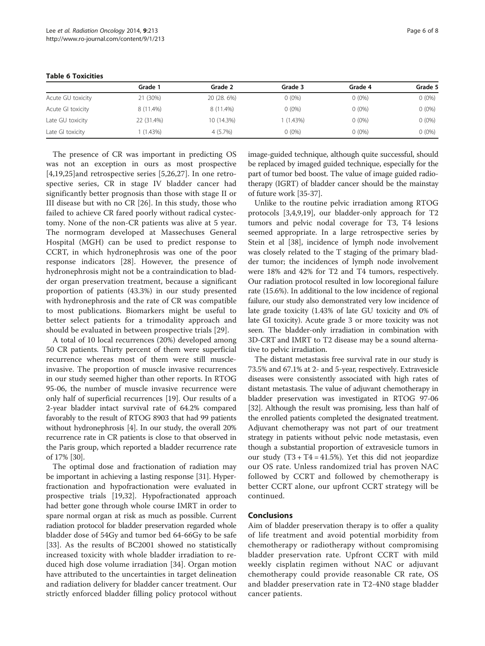|                   | Grade 1    | Grade 2     | Grade 3    | Grade 4  | Grade 5  |
|-------------------|------------|-------------|------------|----------|----------|
| Acute GU toxicity | 21 (30%)   | 20 (28. 6%) | $0(0\%)$   | $0(0\%)$ | $0(0\%)$ |
| Acute GI toxicity | 8 (11.4%)  | 8 (11.4%)   | $0(0\%)$   | $0(0\%)$ | $0(0\%)$ |
| Late GU toxicity  | 22 (31.4%) | 10 (14.3%)  | $(1.43\%)$ | $0(0\%)$ | $0(0\%)$ |
| Late GI toxicity  | $(1.43\%)$ | 4 (5.7%)    | $0(0\%)$   | $0(0\%)$ | $0(0\%)$ |

<span id="page-5-0"></span>Table 6 Toxicities

The presence of CR was important in predicting OS was not an exception in ours as most prospective [[4,19](#page-6-0)[,25](#page-7-0)]and retrospective series [[5,](#page-6-0)[26,27](#page-7-0)]. In one retrospective series, CR in stage IV bladder cancer had significantly better prognosis than those with stage II or III disease but with no CR [\[26](#page-7-0)]. In this study, those who failed to achieve CR fared poorly without radical cystectomy. None of the non-CR patients was alive at 5 year. The normogram developed at Massechuses General Hospital (MGH) can be used to predict response to CCRT, in which hydronephrosis was one of the poor response indicators [\[28](#page-7-0)]. However, the presence of hydronephrosis might not be a contraindication to bladder organ preservation treatment, because a significant proportion of patients (43.3%) in our study presented with hydronephrosis and the rate of CR was compatible to most publications. Biomarkers might be useful to better select patients for a trimodality approach and should be evaluated in between prospective trials [[29](#page-7-0)].

A total of 10 local recurrences (20%) developed among 50 CR patients. Thirty percent of them were superficial recurrence whereas most of them were still muscleinvasive. The proportion of muscle invasive recurrences in our study seemed higher than other reports. In RTOG 95-06, the number of muscle invasive recurrence were only half of superficial recurrences [\[19](#page-6-0)]. Our results of a 2-year bladder intact survival rate of 64.2% compared favorably to the result of RTOG 8903 that had 99 patients without hydronephrosis [\[4\]](#page-6-0). In our study, the overall 20% recurrence rate in CR patients is close to that observed in the Paris group, which reported a bladder recurrence rate of 17% [\[30\]](#page-7-0).

The optimal dose and fractionation of radiation may be important in achieving a lasting response [[31\]](#page-7-0). Hyperfractionation and hypofractionation were evaluated in prospective trials [[19](#page-6-0),[32](#page-7-0)]. Hypofractionated approach had better gone through whole course IMRT in order to spare normal organ at risk as much as possible. Current radiation protocol for bladder preservation regarded whole bladder dose of 54Gy and tumor bed 64-66Gy to be safe [[33\]](#page-7-0). As the results of BC2001 showed no statistically increased toxicity with whole bladder irradiation to reduced high dose volume irradiation [\[34](#page-7-0)]. Organ motion have attributed to the uncertainties in target delineation and radiation delivery for bladder cancer treatment. Our strictly enforced bladder filling policy protocol without

image-guided technique, although quite successful, should be replaced by imaged guided technique, especially for the part of tumor bed boost. The value of image guided radiotherapy (IGRT) of bladder cancer should be the mainstay of future work [\[35-37\]](#page-7-0).

Unlike to the routine pelvic irradiation among RTOG protocols [\[3,4,9,19](#page-6-0)], our bladder-only approach for T2 tumors and pelvic nodal coverage for T3, T4 lesions seemed appropriate. In a large retrospective series by Stein et al [\[38\]](#page-7-0), incidence of lymph node involvement was closely related to the T staging of the primary bladder tumor; the incidences of lymph node involvement were 18% and 42% for T2 and T4 tumors, respectively. Our radiation protocol resulted in low locoregional failure rate (15.6%). In additional to the low incidence of regional failure, our study also demonstrated very low incidence of late grade toxicity (1.43% of late GU toxicity and 0% of late GI toxicity). Acute grade 3 or more toxicity was not seen. The bladder-only irradiation in combination with 3D-CRT and IMRT to T2 disease may be a sound alternative to pelvic irradiation.

The distant metastasis free survival rate in our study is 73.5% and 67.1% at 2- and 5-year, respectively. Extravesicle diseases were consistently associated with high rates of distant metastasis. The value of adjuvant chemotherapy in bladder preservation was investigated in RTOG 97-06 [[32](#page-7-0)]. Although the result was promising, less than half of the enrolled patients completed the designated treatment. Adjuvant chemotherapy was not part of our treatment strategy in patients without pelvic node metastasis, even though a substantial proportion of extravesicle tumors in our study  $(T3 + T4 = 41.5\%)$ . Yet this did not jeopardize our OS rate. Unless randomized trial has proven NAC followed by CCRT and followed by chemotherapy is better CCRT alone, our upfront CCRT strategy will be continued.

### Conclusions

Aim of bladder preservation therapy is to offer a quality of life treatment and avoid potential morbidity from chemotherapy or radiotherapy without compromising bladder preservation rate. Upfront CCRT with mild weekly cisplatin regimen without NAC or adjuvant chemotherapy could provide reasonable CR rate, OS and bladder preservation rate in T2-4N0 stage bladder cancer patients.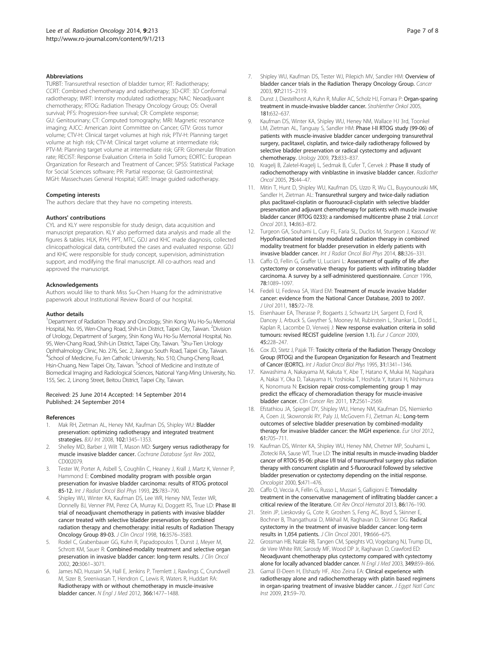#### <span id="page-6-0"></span>**Abbreviations**

TURBT: Transurethral resection of bladder tumor; RT: Radiotherapy; CCRT: Combined chemotherapy and radiotherapy; 3D-CRT: 3D Conformal radiotherapy; IMRT: Intensity modulated radiotherapy; NAC: Neoadjuvant chemotherapy; RTOG: Radiation Therapy Oncology Group; OS: Overall survival; PFS: Progression-free survival; CR: Complete response; GU: Genitourinary; CT: Computed tomography; MRI: Magnetic resonance imaging; AJCC: American Joint Committee on Cancer; GTV: Gross tumor volume; CTV-H: Clinical target volumes at high risk; PTV-H: Planning target volume at high risk; CTV-M: Clinical target volume at intermediate risk; PTV-M: Planning target volume at intermediate risk; GFR: Glomerular filtration rate; RECIST: Response Evaluation Criteria in Solid Tumors; EORTC: European Organization for Research and Treatment of Cancer; SPSS: Statistical Package for Social Sciences software; PR: Partial response; GI: Gastrointestinal; MGH: Massechuses General Hospital; IGRT: Image guided radiotherapy.

#### Competing interests

The authors declare that they have no competing interests.

#### Authors' contributions

CYL and KLY were responsible for study design, data acquisition and manuscript preparation. KLY also performed data analysis and made all the figures & tables. HLK, RYH, PPT, MTC, GDJ and KHC made diagnosis, collected clinicopathological data, contributed the cases and evaluated response. GDJ and KHC were responsible for study concept, supervision, administration support, and modifying the final manuscript. All co-authors read and approved the manuscript.

#### Acknowledgements

Authors would like to thank Miss Su-Chen Huang for the administrative paperwork about Institutional Review Board of our hospital.

#### Author details

<sup>1</sup> Department of Radiation Therapy and Oncology, Shin Kong Wu Ho-Su Memorial Hospital, No. 95, Wen-Chang Road, Shih-Lin District, Taipei City, Taiwan. <sup>2</sup>Division of Urology, Department of Surgery, Shin Kong Wu Ho-Su Memorial Hospital, No. 95, Wen-Chang Road, Shih-Lin District, Taipei City, Taiwan. <sup>3</sup>Shu-Tien Urology Ophthalmology Clinic, No. 276, Sec. 2, Jianguo South Road, Taipei City, Taiwan. <sup>4</sup>School of Medicine, Fu Jen Catholic University, No. 510, Chung-Cheng Road, Hsin-Chuang, New Taipei City, Taiwan. <sup>5</sup>School of Medicine and Institute of Biomedical Imaging and Radiological Sciences, National Yang-Ming University, No. 155, Sec. 2, Linong Street, Beitou District, Taipei City, Taiwan.

#### Received: 25 June 2014 Accepted: 14 September 2014 Published: 24 September 2014

#### References

- 1. Mak RH, Zietman AL, Heney NM, Kaufman DS, Shipley WU: Bladder preservation: optimizing radiotherapy and integrated treatment strategies. BJU Int 2008, 102:1345–1353.
- 2. Shelley MD, Barber J, Wilt T, Mason MD: Surgery versus radiotherapy for muscle invasive bladder cancer. Cochrane Database Syst Rev 2002, CD002079.
- 3. Tester W, Porter A, Asbell S, Coughlin C, Heaney J, Krall J, Martz K, Venner P, Hammond E: Combined modality program with possible organ preservation for invasive bladder carcinoma: results of RTOG protocol 85-12. Int J Radiat Oncol Biol Phys 1993, 25:783–790.
- 4. Shipley WU, Winter KA, Kaufman DS, Lee WR, Heney NM, Tester WR, Donnelly BJ, Venner PM, Perez CA, Murray KJ, Doggett RS, True LD: Phase III trial of neoadjuvant chemotherapy in patients with invasive bladder cancer treated with selective bladder preservation by combined radiation therapy and chemotherapy: initial results of Radiation Therapy Oncology Group 89-03. J Clin Oncol 1998, 16:3576–3583.
- 5. Rodel C, Grabenbauer GG, Kuhn R, Papadopoulos T, Dunst J, Meyer M, Schrott KM, Sauer R: Combined-modality treatment and selective organ preservation in invasive bladder cancer: long-term results. J Clin Oncol 2002, 20:3061–3071.
- 6. James ND, Hussain SA, Hall E, Jenkins P, Tremlett J, Rawlings C, Crundwell M, Sizer B, Sreenivasan T, Hendron C, Lewis R, Waters R, Huddart RA: Radiotherapy with or without chemotherapy in muscle-invasive bladder cancer. N Engl J Med 2012, 366:1477–1488.
- 7. Shipley WU, Kaufman DS, Tester WJ, Pilepich MV, Sandler HM: Overview of bladder cancer trials in the Radiation Therapy Oncology Group. Cancer 2003, 97:2115–2119.
- 8. Dunst J, Diestelhorst A, Kuhn R, Muller AC, Scholz HJ, Fornara P: Organ-sparing treatment in muscle-invasive bladder cancer. Strahlenther Onkol 2005, 181:632–637.
- 9. Kaufman DS, Winter KA, Shipley WU, Heney NM, Wallace HJ 3rd, Toonkel LM, Zietman AL, Tanguay S, Sandler HM: Phase I-II RTOG study (99-06) of patients with muscle-invasive bladder cancer undergoing transurethral surgery, paclitaxel, cisplatin, and twice-daily radiotherapy followed by selective bladder preservation or radical cystectomy and adjuvant chemotherapy. Urology 2009, 73:833–837.
- 10. Kragelj B, Zaletel-Kragelj L, Sedmak B, Cufer T, Cervek J: Phase II study of radiochemotherapy with vinblastine in invasive bladder cancer. Radiother Oncol 2005, 75:44–47.
- 11. Mitin T, Hunt D, Shipley WU, Kaufman DS, Uzzo R, Wu CL, Buyyounouski MK, Sandler H, Zietman AL: Transurethral surgery and twice-daily radiation plus paclitaxel-cisplatin or fluorouracil-cisplatin with selective bladder preservation and adjuvant chemotherapy for patients with muscle invasive bladder cancer (RTOG 0233): a randomised multicentre phase 2 trial. Lancet Oncol 2013, 14:863–872.
- 12. Turgeon GA, Souhami L, Cury FL, Faria SL, Duclos M, Sturgeon J, Kassouf W: Hypofractionated intensity modulated radiation therapy in combined modality treatment for bladder preservation in elderly patients with invasive bladder cancer. Int J Radiat Oncol Biol Phys 2014, 88:326–331.
- 13. Caffo O, Fellin G, Graffer U, Luciani L: Assessment of quality of life after cystectomy or conservative therapy for patients with infiltrating bladder carcinoma. A survey by a self-administered questionnaire. Cancer 1996, 78:1089–1097.
- 14. Fedeli U, Fedewa SA, Ward EM: Treatment of muscle invasive bladder cancer: evidence from the National Cancer Database, 2003 to 2007. J Urol 2011, 185:72–78.
- 15. Eisenhauer EA, Therasse P, Bogaerts J, Schwartz LH, Sargent D, Ford R, Dancey J, Arbuck S, Gwyther S, Mooney M, Rubinstein L, Shankar L, Dodd L, Kaplan R, Lacombe D, Verweij J: New response evaluation criteria in solid tumours: revised RECIST guideline (version 1.1). Eur J Cancer 2009, 45:228–247.
- 16. Cox JD, Stetz J, Pajak TF: Toxicity criteria of the Radiation Therapy Oncology Group (RTOG) and the European Organization for Research and Treatment of Cancer (EORTC). Int J Radiat Oncol Biol Phys 1995, 31:1341–1346.
- 17. Kawashima A, Nakayama M, Kakuta Y, Abe T, Hatano K, Mukai M, Nagahara A, Nakai Y, Oka D, Takayama H, Yoshioka T, Hoshida Y, Itatani H, Nishimura K, Nonomura N: Excision repair cross-complementing group 1 may predict the efficacy of chemoradiation therapy for muscle-invasive bladder cancer. Clin Cancer Res 2011, 17:2561–2569.
- 18. Efstathiou JA, Spiegel DY, Shipley WU, Heney NM, Kaufman DS, Niemierko A, Coen JJ, Skowronski RY, Paly JJ, McGovern FJ, Zietman AL: Long-term outcomes of selective bladder preservation by combined-modality therapy for invasive bladder cancer: the MGH experience. Eur Urol 2012, 61:705–711.
- 19. Kaufman DS, Winter KA, Shipley WU, Heney NM, Chetner MP, Souhami L, Zlotecki RA, Sause WT, True LD: The initial results in muscle-invading bladder cancer of RTOG 95-06: phase I/II trial of transurethral surgery plus radiation therapy with concurrent cisplatin and 5-fluorouracil followed by selective bladder preservation or cystectomy depending on the initial response. Oncologist 2000, 5:471–476.
- 20. Caffo O, Veccia A, Fellin G, Russo L, Mussari S, Galligioni E: Trimodality treatment in the conservative management of infiltrating bladder cancer: a critical review of the literature. Crit Rev Oncol Hematol 2013, 86:176–190.
- 21. Stein JP, Lieskovsky G, Cote R, Groshen S, Feng AC, Boyd S, Skinner E, Bochner B, Thangathurai D, Mikhail M, Raghavan D, Skinner DG: Radical cystectomy in the treatment of invasive bladder cancer: long-term results in 1,054 patients. J Clin Oncol 2001, 19:666–675.
- 22. Grossman HB, Natale RB, Tangen CM, Speights VO, Vogelzang NJ, Trump DL, de Vere White RW, Sarosdy MF, Wood DP Jr, Raghavan D, Crawford ED: Neoadjuvant chemotherapy plus cystectomy compared with cystectomy alone for locally advanced bladder cancer. N Engl J Med 2003, 349:859-866.
- 23. Gamal El-Deen H, Elshazly HF, Abo Zeina EA: Clinical experience with radiotherapy alone and radiochemotherapy with platin based regimens in organ-sparing treatment of invasive bladder cancer. J Egypt Natl Canc Inst 2009, 21:59–70.